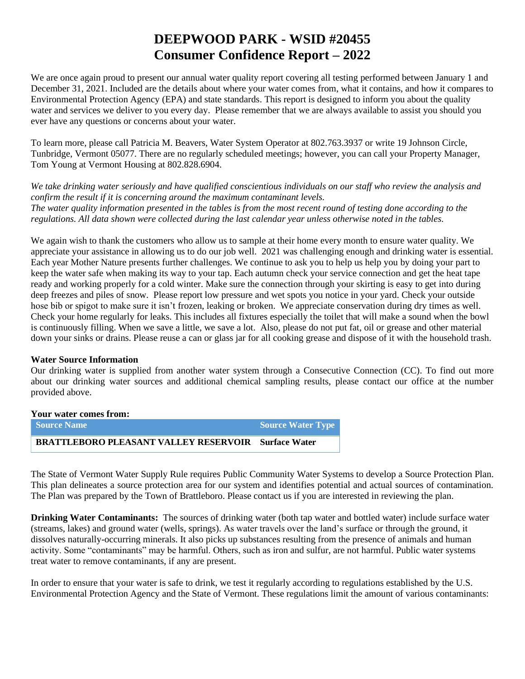# **DEEPWOOD PARK - WSID #20455 Consumer Confidence Report – 2022**

We are once again proud to present our annual water quality report covering all testing performed between January 1 and December 31, 2021. Included are the details about where your water comes from, what it contains, and how it compares to Environmental Protection Agency (EPA) and state standards. This report is designed to inform you about the quality water and services we deliver to you every day. Please remember that we are always available to assist you should you ever have any questions or concerns about your water.

To learn more, please call Patricia M. Beavers, Water System Operator at 802.763.3937 or write 19 Johnson Circle, Tunbridge, Vermont 05077. There are no regularly scheduled meetings; however, you can call your Property Manager, Tom Young at Vermont Housing at 802.828.6904.

*We take drinking water seriously and have qualified conscientious individuals on our staff who review the analysis and confirm the result if it is concerning around the maximum contaminant levels. The water quality information presented in the tables is from the most recent round of testing done according to the regulations. All data shown were collected during the last calendar year unless otherwise noted in the tables.* 

We again wish to thank the customers who allow us to sample at their home every month to ensure water quality. We appreciate your assistance in allowing us to do our job well. 2021 was challenging enough and drinking water is essential. Each year Mother Nature presents further challenges. We continue to ask you to help us help you by doing your part to keep the water safe when making its way to your tap. Each autumn check your service connection and get the heat tape ready and working properly for a cold winter. Make sure the connection through your skirting is easy to get into during deep freezes and piles of snow. Please report low pressure and wet spots you notice in your yard. Check your outside hose bib or spigot to make sure it isn't frozen, leaking or broken. We appreciate conservation during dry times as well. Check your home regularly for leaks. This includes all fixtures especially the toilet that will make a sound when the bowl is continuously filling. When we save a little, we save a lot. Also, please do not put fat, oil or grease and other material down your sinks or drains. Please reuse a can or glass jar for all cooking grease and dispose of it with the household trash.

#### **Water Source Information**

Our drinking water is supplied from another water system through a Consecutive Connection (CC). To find out more about our drinking water sources and additional chemical sampling results, please contact our office at the number provided above.

### **Your water comes from: Source Name <b>Source Water Type** Source Water Type

**BRATTLEBORO PLEASANT VALLEY RESERVOIR Surface Water**

The State of Vermont Water Supply Rule requires Public Community Water Systems to develop a Source Protection Plan. This plan delineates a source protection area for our system and identifies potential and actual sources of contamination. The Plan was prepared by the Town of Brattleboro. Please contact us if you are interested in reviewing the plan.

**Drinking Water Contaminants:** The sources of drinking water (both tap water and bottled water) include surface water (streams, lakes) and ground water (wells, springs). As water travels over the land's surface or through the ground, it dissolves naturally-occurring minerals. It also picks up substances resulting from the presence of animals and human activity. Some "contaminants" may be harmful. Others, such as iron and sulfur, are not harmful. Public water systems treat water to remove contaminants, if any are present.

In order to ensure that your water is safe to drink, we test it regularly according to regulations established by the U.S. Environmental Protection Agency and the State of Vermont. These regulations limit the amount of various contaminants: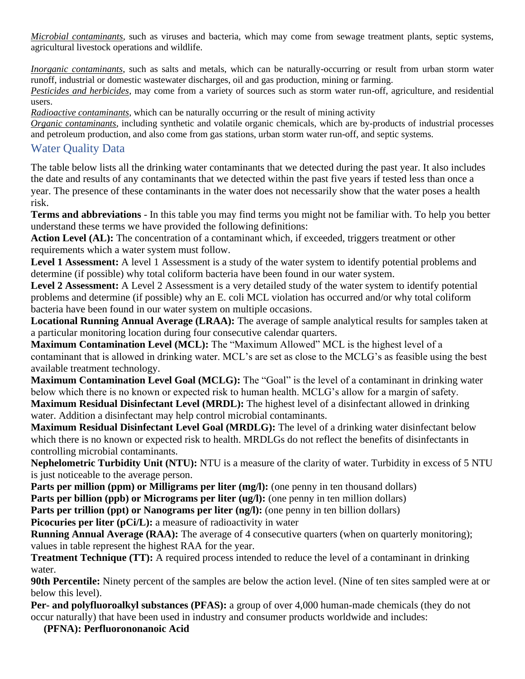*Microbial contaminants*, such as viruses and bacteria, which may come from sewage treatment plants, septic systems, agricultural livestock operations and wildlife.

*Inorganic contaminants*, such as salts and metals, which can be naturally-occurring or result from urban storm water runoff, industrial or domestic wastewater discharges, oil and gas production, mining or farming.

*Pesticides and herbicides*, may come from a variety of sources such as storm water run-off, agriculture, and residential users.

*Radioactive contaminants*, which can be naturally occurring or the result of mining activity

*Organic contaminants*, including synthetic and volatile organic chemicals, which are by-products of industrial processes and petroleum production, and also come from gas stations, urban storm water run-off, and septic systems.

## Water Quality Data

The table below lists all the drinking water contaminants that we detected during the past year. It also includes the date and results of any contaminants that we detected within the past five years if tested less than once a year. The presence of these contaminants in the water does not necessarily show that the water poses a health risk.

**Terms and abbreviations** - In this table you may find terms you might not be familiar with. To help you better understand these terms we have provided the following definitions:

**Action Level (AL):** The concentration of a contaminant which, if exceeded, triggers treatment or other requirements which a water system must follow.

Level 1 Assessment: A level 1 Assessment is a study of the water system to identify potential problems and determine (if possible) why total coliform bacteria have been found in our water system.

**Level 2 Assessment:** A Level 2 Assessment is a very detailed study of the water system to identify potential problems and determine (if possible) why an E. coli MCL violation has occurred and/or why total coliform bacteria have been found in our water system on multiple occasions.

**Locational Running Annual Average (LRAA):** The average of sample analytical results for samples taken at a particular monitoring location during four consecutive calendar quarters.

**Maximum Contamination Level (MCL):** The "Maximum Allowed" MCL is the highest level of a contaminant that is allowed in drinking water. MCL's are set as close to the MCLG's as feasible using the best available treatment technology.

**Maximum Contamination Level Goal (MCLG):** The "Goal" is the level of a contaminant in drinking water below which there is no known or expected risk to human health. MCLG's allow for a margin of safety. **Maximum Residual Disinfectant Level (MRDL):** The highest level of a disinfectant allowed in drinking water. Addition a disinfectant may help control microbial contaminants.

**Maximum Residual Disinfectant Level Goal (MRDLG):** The level of a drinking water disinfectant below which there is no known or expected risk to health. MRDLGs do not reflect the benefits of disinfectants in controlling microbial contaminants.

**Nephelometric Turbidity Unit (NTU):** NTU is a measure of the clarity of water. Turbidity in excess of 5 NTU is just noticeable to the average person.

Parts per million (ppm) or Milligrams per liter (mg/l): (one penny in ten thousand dollars)

**Parts per billion (ppb) or Micrograms per liter (ug/l):** (one penny in ten million dollars)

**Parts per trillion (ppt) or Nanograms per liter (ng/l):** (one penny in ten billion dollars)

**Picocuries per liter (pCi/L):** a measure of radioactivity in water

**Running Annual Average (RAA):** The average of 4 consecutive quarters (when on quarterly monitoring); values in table represent the highest RAA for the year.

**Treatment Technique (TT):** A required process intended to reduce the level of a contaminant in drinking water.

**90th Percentile:** Ninety percent of the samples are below the action level. (Nine of ten sites sampled were at or below this level).

**Per- and polyfluoroalkyl substances (PFAS):** a group of over 4,000 human-made chemicals (they do not occur naturally) that have been used in industry and consumer products worldwide and includes:

**(PFNA): Perfluorononanoic Acid**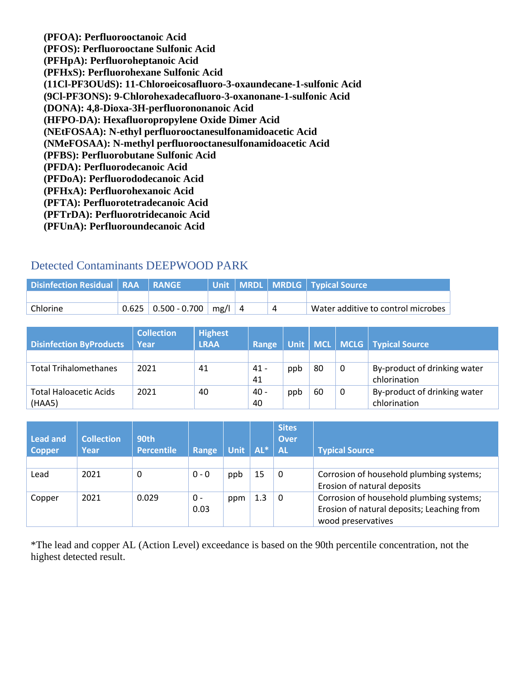**(PFOA): Perfluorooctanoic Acid (PFOS): Perfluorooctane Sulfonic Acid (PFHpA): Perfluoroheptanoic Acid (PFHxS): Perfluorohexane Sulfonic Acid (11Cl-PF3OUdS): 11-Chloroeicosafluoro-3-oxaundecane-1-sulfonic Acid (9Cl-PF3ONS): 9-Chlorohexadecafluoro-3-oxanonane-1-sulfonic Acid (DONA): 4,8-Dioxa-3H-perfluorononanoic Acid (HFPO-DA): Hexafluoropropylene Oxide Dimer Acid (NEtFOSAA): N-ethyl perfluorooctanesulfonamidoacetic Acid (NMeFOSAA): N-methyl perfluorooctanesulfonamidoacetic Acid (PFBS): Perfluorobutane Sulfonic Acid (PFDA): Perfluorodecanoic Acid (PFDoA): Perfluorododecanoic Acid (PFHxA): Perfluorohexanoic Acid (PFTA): Perfluorotetradecanoic Acid (PFTrDA): Perfluorotridecanoic Acid (PFUnA): Perfluoroundecanoic Acid**

## Detected Contaminants DEEPWOOD PARK

| Disinfection Residual   RAA   RANGE |                                 |          |  | Unit   MRDL   MRDLG   Typical Source |
|-------------------------------------|---------------------------------|----------|--|--------------------------------------|
|                                     |                                 |          |  |                                      |
| Chlorine                            | $0.625 \mid 0.500 - 0.700 \mid$ | $mg/l$ 4 |  | Water additive to control microbes   |

|                                | <b>Collection</b> | <b>Highest</b> |        |     |    |   |                                    |
|--------------------------------|-------------------|----------------|--------|-----|----|---|------------------------------------|
| <b>Disinfection ByProducts</b> | Year              | <b>LRAA</b>    | Range  |     |    |   | Unit   MCL   MCLG   Typical Source |
|                                |                   |                |        |     |    |   |                                    |
| <b>Total Trihalomethanes</b>   | 2021              | 41             | $41 -$ | ppb | 80 | 0 | By-product of drinking water       |
|                                |                   |                | 41     |     |    |   | chlorination                       |
| <b>Total Haloacetic Acids</b>  | 2021              | 40             | $40 -$ | ppb | 60 | 0 | By-product of drinking water       |
| (HAA5)                         |                   |                | 40     |     |    |   | chlorination                       |

| <b>Lead and</b><br><b>Copper</b> | <b>Collection</b><br>Year | 90th<br><b>Percentile</b> | Range       | Unit $\vert$ AL* |     | <b>Sites</b><br><b>Over</b><br><b>AL</b> | <b>Typical Source</b>                                                                                        |
|----------------------------------|---------------------------|---------------------------|-------------|------------------|-----|------------------------------------------|--------------------------------------------------------------------------------------------------------------|
|                                  |                           |                           |             |                  |     |                                          |                                                                                                              |
| Lead                             | 2021                      | 0                         | $0 - 0$     | ppb              | 15  | 0                                        | Corrosion of household plumbing systems;<br>Erosion of natural deposits                                      |
| Copper                           | 2021                      | 0.029                     | 0 -<br>0.03 | ppm              | 1.3 | 0                                        | Corrosion of household plumbing systems;<br>Erosion of natural deposits; Leaching from<br>wood preservatives |

\*The lead and copper AL (Action Level) exceedance is based on the 90th percentile concentration, not the highest detected result.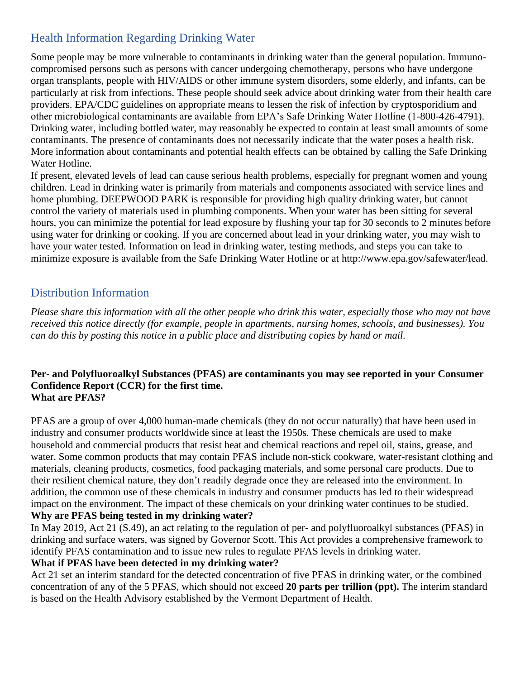# Health Information Regarding Drinking Water

Some people may be more vulnerable to contaminants in drinking water than the general population. Immunocompromised persons such as persons with cancer undergoing chemotherapy, persons who have undergone organ transplants, people with HIV/AIDS or other immune system disorders, some elderly, and infants, can be particularly at risk from infections. These people should seek advice about drinking water from their health care providers. EPA/CDC guidelines on appropriate means to lessen the risk of infection by cryptosporidium and other microbiological contaminants are available from EPA's Safe Drinking Water Hotline (1-800-426-4791). Drinking water, including bottled water, may reasonably be expected to contain at least small amounts of some contaminants. The presence of contaminants does not necessarily indicate that the water poses a health risk. More information about contaminants and potential health effects can be obtained by calling the Safe Drinking Water Hotline.

If present, elevated levels of lead can cause serious health problems, especially for pregnant women and young children. Lead in drinking water is primarily from materials and components associated with service lines and home plumbing. DEEPWOOD PARK is responsible for providing high quality drinking water, but cannot control the variety of materials used in plumbing components. When your water has been sitting for several hours, you can minimize the potential for lead exposure by flushing your tap for 30 seconds to 2 minutes before using water for drinking or cooking. If you are concerned about lead in your drinking water, you may wish to have your water tested. Information on lead in drinking water, testing methods, and steps you can take to minimize exposure is available from the Safe Drinking Water Hotline or at [http://www.epa.gov/safewater/lead.](http://www.epa.gov/safewater/lead)

## Distribution Information

*Please share this information with all the other people who drink this water, especially those who may not have received this notice directly (for example, people in apartments, nursing homes, schools, and businesses). You can do this by posting this notice in a public place and distributing copies by hand or mail.*

#### **Per- and Polyfluoroalkyl Substances (PFAS) are contaminants you may see reported in your Consumer Confidence Report (CCR) for the first time. What are PFAS?**

PFAS are a group of over 4,000 human-made chemicals (they do not occur naturally) that have been used in industry and consumer products worldwide since at least the 1950s. These chemicals are used to make household and commercial products that resist heat and chemical reactions and repel oil, stains, grease, and water. Some common products that may contain PFAS include non-stick cookware, water-resistant clothing and materials, cleaning products, cosmetics, food packaging materials, and some personal care products. Due to their resilient chemical nature, they don't readily degrade once they are released into the environment. In addition, the common use of these chemicals in industry and consumer products has led to their widespread impact on the environment. The impact of these chemicals on your drinking water continues to be studied. **Why are PFAS being tested in my drinking water?**

In May 2019, Act 21 (S.49), an act relating to the regulation of per- and polyfluoroalkyl substances (PFAS) in drinking and surface waters, was signed by Governor Scott. This Act provides a comprehensive framework to identify PFAS contamination and to issue new rules to regulate PFAS levels in drinking water.

#### **What if PFAS have been detected in my drinking water?**

Act 21 set an interim standard for the detected concentration of five PFAS in drinking water, or the combined concentration of any of the 5 PFAS, which should not exceed **20 parts per trillion (ppt).** The interim standard is based on the Health Advisory established by the Vermont Department of Health.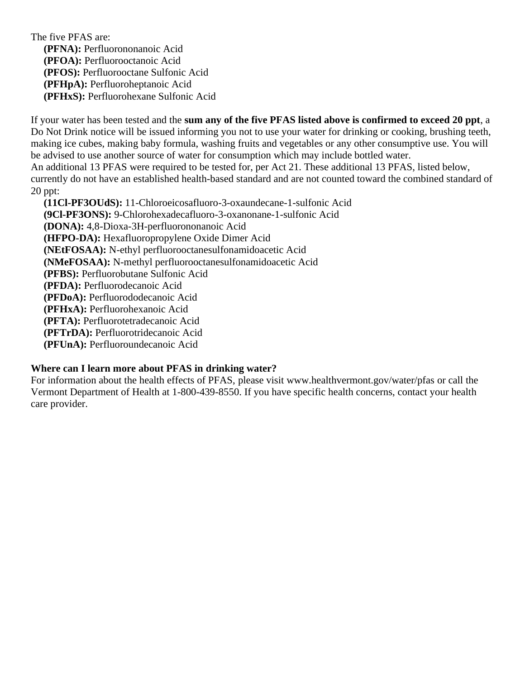The five PFAS are: **(PFNA):** Perfluorononanoic Acid **(PFOA):** Perfluorooctanoic Acid **(PFOS):** Perfluorooctane Sulfonic Acid **(PFHpA):** Perfluoroheptanoic Acid **(PFHxS):** Perfluorohexane Sulfonic Acid

If your water has been tested and the **sum any of the five PFAS listed above is confirmed to exceed 20 ppt**, a Do Not Drink notice will be issued informing you not to use your water for drinking or cooking, brushing teeth, making ice cubes, making baby formula, washing fruits and vegetables or any other consumptive use. You will be advised to use another source of water for consumption which may include bottled water. An additional 13 PFAS were required to be tested for, per Act 21. These additional 13 PFAS, listed below,

currently do not have an established health-based standard and are not counted toward the combined standard of 20 ppt:

 **(11Cl-PF3OUdS):** 11-Chloroeicosafluoro-3-oxaundecane-1-sulfonic Acid **(9Cl-PF3ONS):** 9-Chlorohexadecafluoro-3-oxanonane-1-sulfonic Acid **(DONA):** 4,8-Dioxa-3H-perfluorononanoic Acid **(HFPO-DA):** Hexafluoropropylene Oxide Dimer Acid **(NEtFOSAA):** N-ethyl perfluorooctanesulfonamidoacetic Acid **(NMeFOSAA):** N-methyl perfluorooctanesulfonamidoacetic Acid **(PFBS):** Perfluorobutane Sulfonic Acid **(PFDA):** Perfluorodecanoic Acid **(PFDoA):** Perfluorododecanoic Acid **(PFHxA):** Perfluorohexanoic Acid **(PFTA):** Perfluorotetradecanoic Acid **(PFTrDA):** Perfluorotridecanoic Acid **(PFUnA):** Perfluoroundecanoic Acid

#### **Where can I learn more about PFAS in drinking water?**

For information about the health effects of PFAS, please visit [www.healthvermont.gov/water/pfas](../../../Downloads/www.healthvermont.gov/water/pfas) or call the Vermont Department of Health at 1-800-439-8550. If you have specific health concerns, contact your health care provider.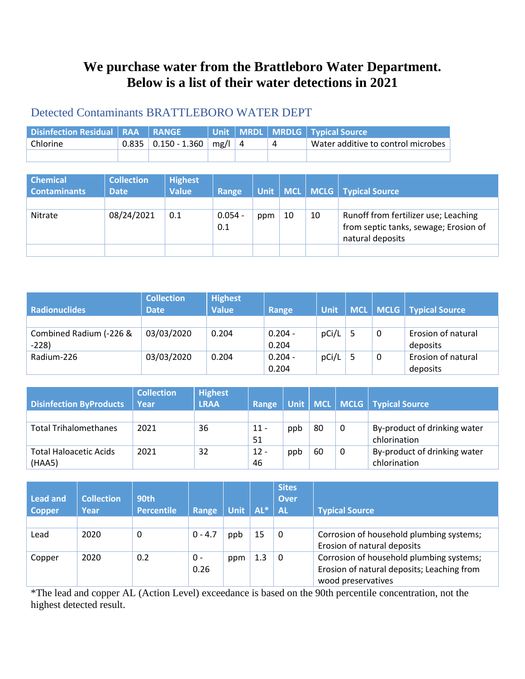# **We purchase water from the Brattleboro Water Department. Below is a list of their water detections in 2021**

# Detected Contaminants BRATTLEBORO WATER DEPT

| Disinfection Residual   RAA   RANGE |                         |          |  | Unit   MRDL   MRDLG   Typical Source <sup> </sup> |
|-------------------------------------|-------------------------|----------|--|---------------------------------------------------|
| Chlorine                            | $0.835$   0.150 - 1.360 | $mg/ $ 4 |  | Water additive to control microbes                |
|                                     |                         |          |  |                                                   |

| <b>Chemical</b><br><b>Contaminants</b> | <b>Collection</b><br><b>Date</b> | <b>Highest</b><br><b>Value</b> | Range            | Unit |    |    | MCL   MCLG   Typical Source                                                                       |
|----------------------------------------|----------------------------------|--------------------------------|------------------|------|----|----|---------------------------------------------------------------------------------------------------|
| Nitrate                                | 08/24/2021                       | 0.1                            | $0.054 -$<br>0.1 | ppm  | 10 | 10 | Runoff from fertilizer use; Leaching<br>from septic tanks, sewage; Erosion of<br>natural deposits |
|                                        |                                  |                                |                  |      |    |    |                                                                                                   |

| <b>Radionuclides</b>    | <b>Collection</b><br><b>Date</b> | <b>Highest</b><br><b>Value</b> | Range     | <b>Unit</b> |   | MCL MCLG   Typical Source |
|-------------------------|----------------------------------|--------------------------------|-----------|-------------|---|---------------------------|
|                         |                                  |                                |           |             |   |                           |
| Combined Radium (-226 & | 03/03/2020                       | 0.204                          | $0.204 -$ | pCi/L       | 0 | Erosion of natural        |
| $-228$                  |                                  |                                | 0.204     |             |   | deposits                  |
| Radium-226              | 03/03/2020                       | 0.204                          | $0.204 -$ | pCi/L       | 0 | Erosion of natural        |
|                         |                                  |                                | 0.204     |             |   | deposits                  |

| <b>Disinfection ByProducts</b>          | <b>Collection</b><br>Year | <b>Highest</b><br><b>LRAA</b> | Range        |     |    |   | Unit   MCL   MCLG   Typical Source           |
|-----------------------------------------|---------------------------|-------------------------------|--------------|-----|----|---|----------------------------------------------|
|                                         |                           |                               |              |     |    |   |                                              |
| <b>Total Trihalomethanes</b>            | 2021                      | 36                            | $11 -$<br>51 | ppb | 80 | 0 | By-product of drinking water<br>chlorination |
| <b>Total Haloacetic Acids</b><br>(HAA5) | 2021                      | 32                            | $12 -$<br>46 | ppb | 60 | 0 | By-product of drinking water<br>chlorination |

| <b>Lead and</b><br><b>Copper</b> | <b>Collection</b><br>Year | 90th<br><b>Percentile</b> | Range       | <b>Unit</b> | AL* | <b>Sites</b><br><b>Over</b><br><b>AL</b> | <b>Typical Source</b>                                                                                        |
|----------------------------------|---------------------------|---------------------------|-------------|-------------|-----|------------------------------------------|--------------------------------------------------------------------------------------------------------------|
| Lead                             | 2020                      | 0                         | $0 - 4.7$   | ppb         | 15  | 0                                        | Corrosion of household plumbing systems;                                                                     |
|                                  |                           |                           |             |             |     |                                          | Erosion of natural deposits                                                                                  |
| Copper                           | 2020                      | 0.2                       | 0 -<br>0.26 | ppm         | 1.3 | 0                                        | Corrosion of household plumbing systems;<br>Erosion of natural deposits; Leaching from<br>wood preservatives |

\*The lead and copper AL (Action Level) exceedance is based on the 90th percentile concentration, not the highest detected result.